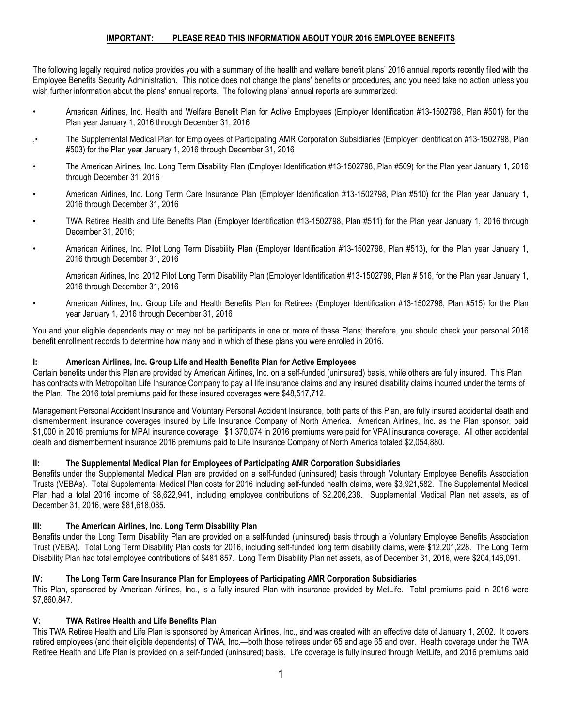# **IMPORTANT: PLEASE READ THIS INFORMATION ABOUT YOUR 2016 EMPLOYEE BENEFITS**

The following legally required notice provides you with a summary of the health and welfare benefit plans' 2016 annual reports recently filed with the Employee Benefits Security Administration. This notice does not change the plans' benefits or procedures, and you need take no action unless you wish further information about the plans' annual reports. The following plans' annual reports are summarized:

- American Airlines, Inc. Health and Welfare Benefit Plan for Active Employees (Employer Identification #13-1502798, Plan #501) for the Plan year January 1, 2016 through December 31, 2016
- ,• The Supplemental Medical Plan for Employees of Participating AMR Corporation Subsidiaries (Employer Identification #13-1502798, Plan #503) for the Plan year January 1, 2016 through December 31, 2016
- The American Airlines, Inc. Long Term Disability Plan (Employer Identification #13-1502798, Plan #509) for the Plan year January 1, 2016 through December 31, 2016
- American Airlines, Inc. Long Term Care Insurance Plan (Employer Identification #13-1502798, Plan #510) for the Plan year January 1, 2016 through December 31, 2016
- TWA Retiree Health and Life Benefits Plan (Employer Identification #13-1502798, Plan #511) for the Plan year January 1, 2016 through December 31, 2016;
- American Airlines, Inc. Pilot Long Term Disability Plan (Employer Identification #13-1502798, Plan #513), for the Plan year January 1, 2016 through December 31, 2016
	- American Airlines, Inc. 2012 Pilot Long Term Disability Plan (Employer Identification #13-1502798, Plan # 516, for the Plan year January 1, 2016 through December 31, 2016
- American Airlines, Inc. Group Life and Health Benefits Plan for Retirees (Employer Identification #13-1502798, Plan #515) for the Plan year January 1, 2016 through December 31, 2016

You and your eligible dependents may or may not be participants in one or more of these Plans; therefore, you should check your personal 2016 benefit enrollment records to determine how many and in which of these plans you were enrolled in 2016.

#### **I: American Airlines, Inc. Group Life and Health Benefits Plan for Active Employees**

Certain benefits under this Plan are provided by American Airlines, Inc. on a self-funded (uninsured) basis, while others are fully insured. This Plan has contracts with Metropolitan Life Insurance Company to pay all life insurance claims and any insured disability claims incurred under the terms of the Plan. The 2016 total premiums paid for these insured coverages were \$48,517,712.

Management Personal Accident Insurance and Voluntary Personal Accident Insurance, both parts of this Plan, are fully insured accidental death and dismemberment insurance coverages insured by Life Insurance Company of North America. American Airlines, Inc. as the Plan sponsor, paid \$1,000 in 2016 premiums for MPAI insurance coverage. \$1,370,074 in 2016 premiums were paid for VPAI insurance coverage. All other accidental death and dismemberment insurance 2016 premiums paid to Life Insurance Company of North America totaled \$2,054,880.

#### **II: The Supplemental Medical Plan for Employees of Participating AMR Corporation Subsidiaries**

Benefits under the Supplemental Medical Plan are provided on a self-funded (uninsured) basis through Voluntary Employee Benefits Association Trusts (VEBAs). Total Supplemental Medical Plan costs for 2016 including self-funded health claims, were \$3,921,582. The Supplemental Medical Plan had a total 2016 income of \$8,622,941, including employee contributions of \$2,206,238. Supplemental Medical Plan net assets, as of December 31, 2016, were \$81,618,085.

### **III: The American Airlines, Inc. Long Term Disability Plan**

Benefits under the Long Term Disability Plan are provided on a self-funded (uninsured) basis through a Voluntary Employee Benefits Association Trust (VEBA). Total Long Term Disability Plan costs for 2016, including self-funded long term disability claims, were \$12,201,228. The Long Term Disability Plan had total employee contributions of \$481,857. Long Term Disability Plan net assets, as of December 31, 2016, were \$204,146,091.

#### **IV: The Long Term Care Insurance Plan for Employees of Participating AMR Corporation Subsidiaries**

This Plan, sponsored by American Airlines, Inc., is a fully insured Plan with insurance provided by MetLife. Total premiums paid in 2016 were \$7,860,847.

### **V: TWA Retiree Health and Life Benefits Plan**

This TWA Retiree Health and Life Plan is sponsored by American Airlines, Inc., and was created with an effective date of January 1, 2002. It covers retired employees (and their eligible dependents) of TWA, Inc.—both those retirees under 65 and age 65 and over. Health coverage under the TWA Retiree Health and Life Plan is provided on a self-funded (uninsured) basis. Life coverage is fully insured through MetLife, and 2016 premiums paid